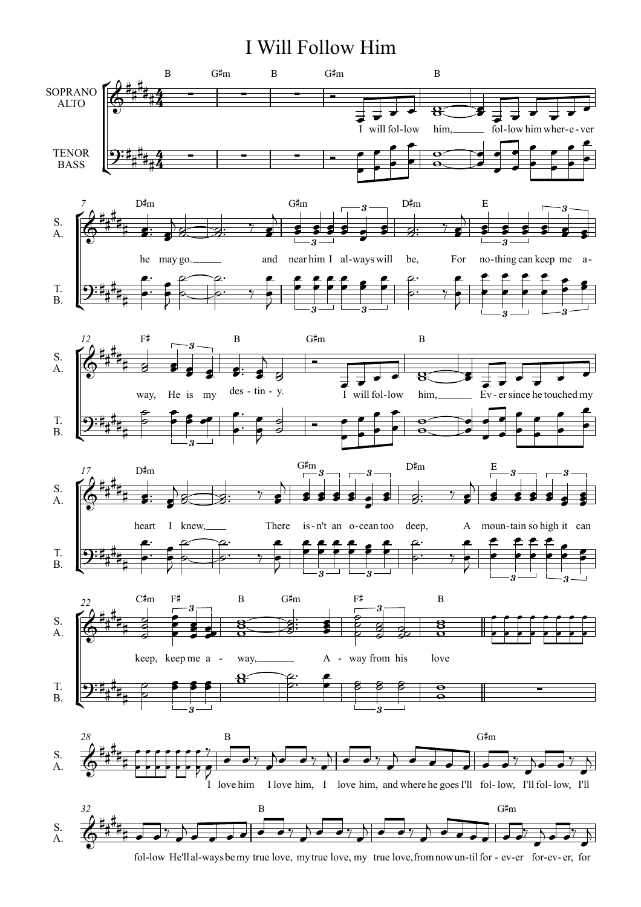## I Will Follow Him



fol-low He'll al-ways be my true love, my true love, my true love, from now un-til for - ev-er for-ev-er, for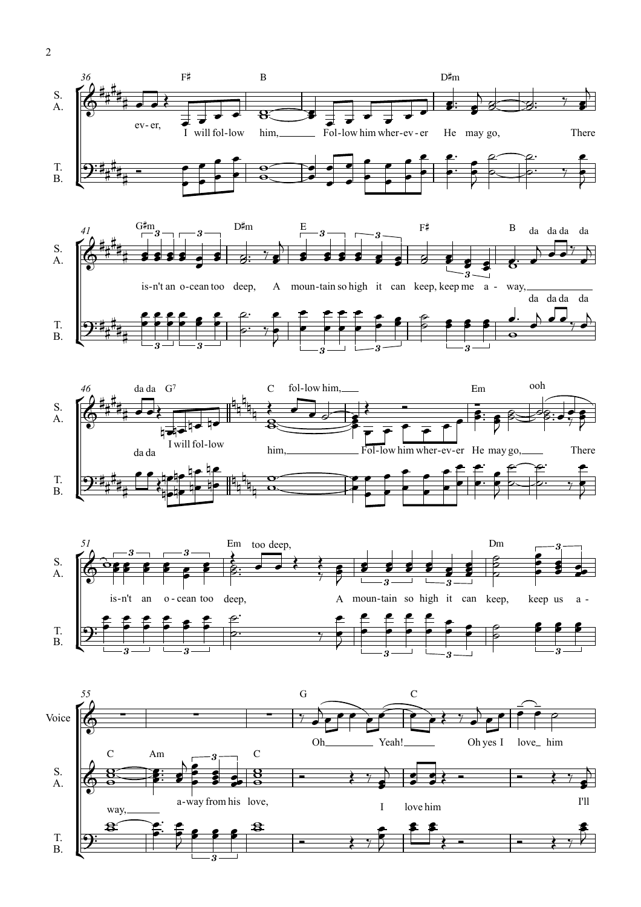